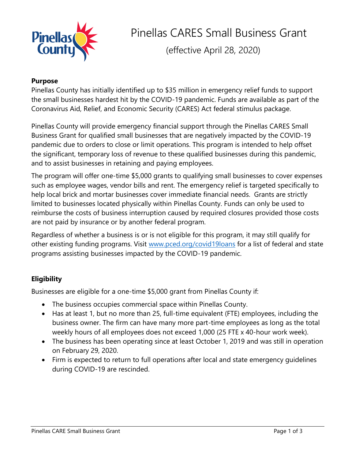

Pinellas CARES Small Business Grant

(effective April 28, 2020)

# **Purpose**

Pinellas County has initially identified up to \$35 million in emergency relief funds to support the small businesses hardest hit by the COVID-19 pandemic. Funds are available as part of the Coronavirus Aid, Relief, and Economic Security (CARES) Act federal stimulus package.

Pinellas County will provide emergency financial support through the Pinellas CARES Small Business Grant for qualified small businesses that are negatively impacted by the COVID-19 pandemic due to orders to close or limit operations. This program is intended to help offset the significant, temporary loss of revenue to these qualified businesses during this pandemic, and to assist businesses in retaining and paying employees.

The program will offer one-time \$5,000 grants to qualifying small businesses to cover expenses such as employee wages, vendor bills and rent. The emergency relief is targeted specifically to help local brick and mortar businesses cover immediate financial needs. Grants are strictly limited to businesses located physically within Pinellas County. Funds can only be used to reimburse the costs of business interruption caused by required closures provided those costs are not paid by insurance or by another federal program.

Regardless of whether a business is or is not eligible for this program, it may still qualify for other existing funding programs. Visit [www.pced.org/covid19loans](file:///C:/Users/ecoed22/AppData/Local/Microsoft/Windows/INetCache/Content.Outlook/5WBM4PYU/www.pced.org/covid19loans) for a list of federal and state programs assisting businesses impacted by the COVID-19 pandemic.

# **Eligibility**

Businesses are eligible for a one-time \$5,000 grant from Pinellas County if:

- The business occupies commercial space within Pinellas County.
- Has at least 1, but no more than 25, full-time equivalent (FTE) employees, including the business owner. The firm can have many more part-time employees as long as the total weekly hours of all employees does not exceed 1,000 (25 FTE x 40-hour work week).
- The business has been operating since at least October 1, 2019 and was still in operation on February 29, 2020.
- Firm is expected to return to full operations after local and state emergency guidelines during COVID-19 are rescinded.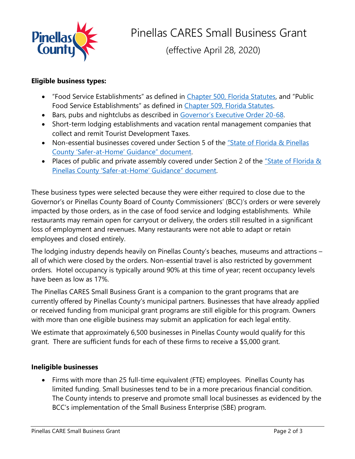

(effective April 28, 2020)

## **Eligible business types:**

- "Food Service Establishments" as defined in [Chapter 500, Florida Statutes](http://www.leg.state.fl.us/Statutes/index.cfm?App_mode=Display_Statute&Search_String=&URL=0500-0599/0500/Sections/0500.03.html), and "Public Food Service Establishments" as defined in [Chapter 509, Florida Statutes.](http://www.leg.state.fl.us/Statutes/index.cfm?App_mode=Display_Statute&Search_String=&URL=0500-0599/0509/Sections/0509.013.html)
- Bars, pubs and nightclubs as described in [Governor's Executive Order 20](https://www.flgov.com/wp-content/uploads/orders/2020/EO_20-68.pdf)-68.
- Short-term lodging establishments and vacation rental management companies that collect and remit Tourist Development Taxes.
- Non-essential businesses covered under Section 5 of the "State of Florida & Pinellas County 'Safer-at-[Home' Guidance" document](http://www.pinellascounty.org/emergency/covid19/FAQ-Stay-at-Home-Order.pdf).
- Places of public and private assembly covered under Section 2 of the  $\frac{m}{s}$  State of Florida & Pinellas County 'Safer-at-[Home' Guidance" document](http://www.pinellascounty.org/emergency/covid19/FAQ-Stay-at-Home-Order.pdf).

These business types were selected because they were either required to close due to the Governor's or Pinellas County Board of County Commissioners' (BCC)'s orders or were severely impacted by those orders, as in the case of food service and lodging establishments. While restaurants may remain open for carryout or delivery, the orders still resulted in a significant loss of employment and revenues. Many restaurants were not able to adapt or retain employees and closed entirely.

The lodging industry depends heavily on Pinellas County's beaches, museums and attractions – all of which were closed by the orders. Non-essential travel is also restricted by government orders. Hotel occupancy is typically around 90% at this time of year; recent occupancy levels have been as low as 17%.

The Pinellas CARES Small Business Grant is a companion to the grant programs that are currently offered by Pinellas County's municipal partners. Businesses that have already applied or received funding from municipal grant programs are still eligible for this program. Owners with more than one eligible business may submit an application for each legal entity.

We estimate that approximately 6,500 businesses in Pinellas County would qualify for this grant. There are sufficient funds for each of these firms to receive a \$5,000 grant.

# **Ineligible businesses**

 Firms with more than 25 full-time equivalent (FTE) employees. Pinellas County has limited funding. Small businesses tend to be in a more precarious financial condition. The County intends to preserve and promote small local businesses as evidenced by the BCC's implementation of the Small Business Enterprise (SBE) program.